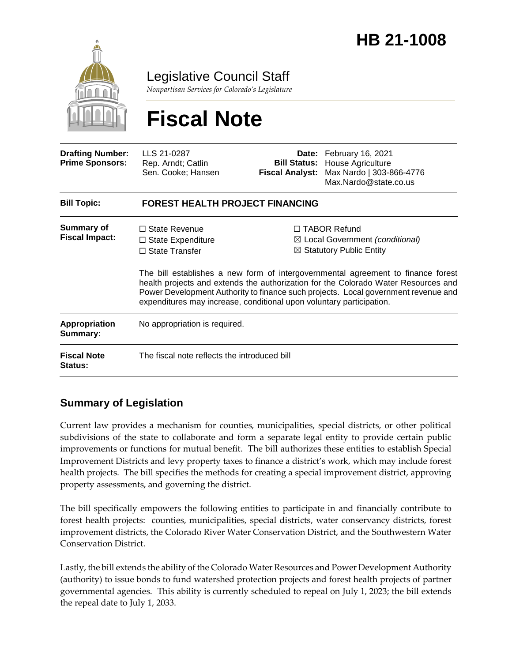

Legislative Council Staff

*Nonpartisan Services for Colorado's Legislature*

# **Fiscal Note**

| <b>Drafting Number:</b><br><b>Prime Sponsors:</b> | LLS 21-0287<br>Rep. Arndt; Catlin<br>Sen. Cooke; Hansen                   | <b>Fiscal Analyst:</b> | Date: February 16, 2021<br><b>Bill Status: House Agriculture</b><br>Max Nardo   303-866-4776<br>Max.Nardo@state.co.us                                                                                                                                                                                                                                                                                                                            |  |
|---------------------------------------------------|---------------------------------------------------------------------------|------------------------|--------------------------------------------------------------------------------------------------------------------------------------------------------------------------------------------------------------------------------------------------------------------------------------------------------------------------------------------------------------------------------------------------------------------------------------------------|--|
| <b>Bill Topic:</b>                                | <b>FOREST HEALTH PROJECT FINANCING</b>                                    |                        |                                                                                                                                                                                                                                                                                                                                                                                                                                                  |  |
| <b>Summary of</b><br><b>Fiscal Impact:</b>        | $\Box$ State Revenue<br>$\Box$ State Expenditure<br>$\Box$ State Transfer |                        | $\Box$ TABOR Refund<br>$\boxtimes$ Local Government (conditional)<br>$\boxtimes$ Statutory Public Entity<br>The bill establishes a new form of intergovernmental agreement to finance forest<br>health projects and extends the authorization for the Colorado Water Resources and<br>Power Development Authority to finance such projects. Local government revenue and<br>expenditures may increase, conditional upon voluntary participation. |  |
| Appropriation<br>Summary:                         | No appropriation is required.                                             |                        |                                                                                                                                                                                                                                                                                                                                                                                                                                                  |  |
| <b>Fiscal Note</b><br>Status:                     | The fiscal note reflects the introduced bill                              |                        |                                                                                                                                                                                                                                                                                                                                                                                                                                                  |  |

# **Summary of Legislation**

Current law provides a mechanism for counties, municipalities, special districts, or other political subdivisions of the state to collaborate and form a separate legal entity to provide certain public improvements or functions for mutual benefit. The bill authorizes these entities to establish Special Improvement Districts and levy property taxes to finance a district's work, which may include forest health projects. The bill specifies the methods for creating a special improvement district, approving property assessments, and governing the district.

The bill specifically empowers the following entities to participate in and financially contribute to forest health projects: counties, municipalities, special districts, water conservancy districts, forest improvement districts, the Colorado River Water Conservation District, and the Southwestern Water Conservation District.

Lastly, the bill extends the ability of the Colorado Water Resources and Power Development Authority (authority) to issue bonds to fund watershed protection projects and forest health projects of partner governmental agencies. This ability is currently scheduled to repeal on July 1, 2023; the bill extends the repeal date to July 1, 2033.